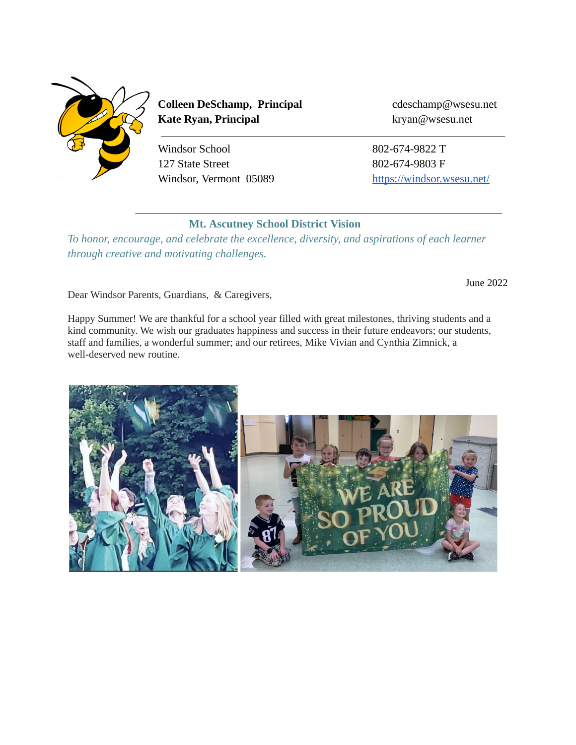

**Colleen DeSchamp, Principal** cdeschamp@wsesu.net **Kate Ryan, Principal** kryan@wsesu.net

Windsor School 802-674-9822 T 127 State Street 802-674-9803 F

Windsor, Vermont 05089 <https://windsor.wsesu.net/>

## **Mt. Ascutney School District Vision**

 $\overline{\phantom{a}}$  , and the contribution of the contribution of the contribution of the contribution of the contribution of the contribution of the contribution of the contribution of the contribution of the contribution of the

*To honor, encourage, and celebrate the excellence, diversity, and aspirations of each learner through creative and motivating challenges.*

June 2022

Dear Windsor Parents, Guardians, & Caregivers,

Happy Summer! We are thankful for a school year filled with great milestones, thriving students and a kind community. We wish our graduates happiness and success in their future endeavors; our students, staff and families, a wonderful summer; and our retirees, Mike Vivian and Cynthia Zimnick, a well-deserved new routine.

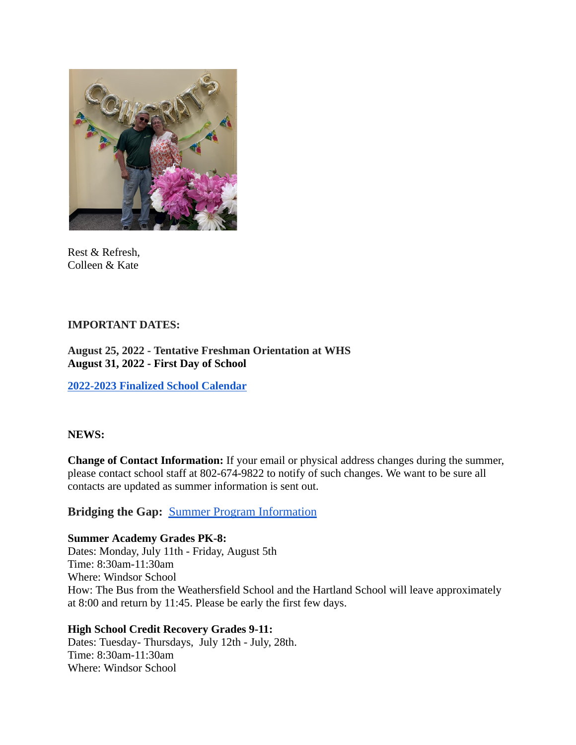

Rest & Refresh, Colleen & Kate

#### **IMPORTANT DATES:**

## **August 25, 2022 - Tentative Freshman Orientation at WHS August 31, 2022 - First Day of School**

**[2022-2023 Finalized School Calendar](https://drive.google.com/open?id=10ggoq-_bjppaFB4JLj8LPTC5oby9noK1)**

#### **NEWS:**

**Change of Contact Information:** If your email or physical address changes during the summer, please contact school staff at 802-674-9822 to notify of such changes. We want to be sure all contacts are updated as summer information is sent out.

# **Bridging the Gap:** Summer Program [Information](https://docs.google.com/document/d/1vUtlnTQwXcyUuzh3jWCW_IxtqxyMuazBbthyVHgq_jk/edit?usp=sharing)

#### **Summer Academy Grades PK-8:**

Dates: Monday, July 11th - Friday, August 5th Time: 8:30am-11:30am Where: Windsor School How: The Bus from the Weathersfield School and the Hartland School will leave approximately at 8:00 and return by 11:45. Please be early the first few days.

#### **High School Credit Recovery Grades 9-11:**

Dates: Tuesday- Thursdays, July 12th - July, 28th. Time: 8:30am-11:30am Where: Windsor School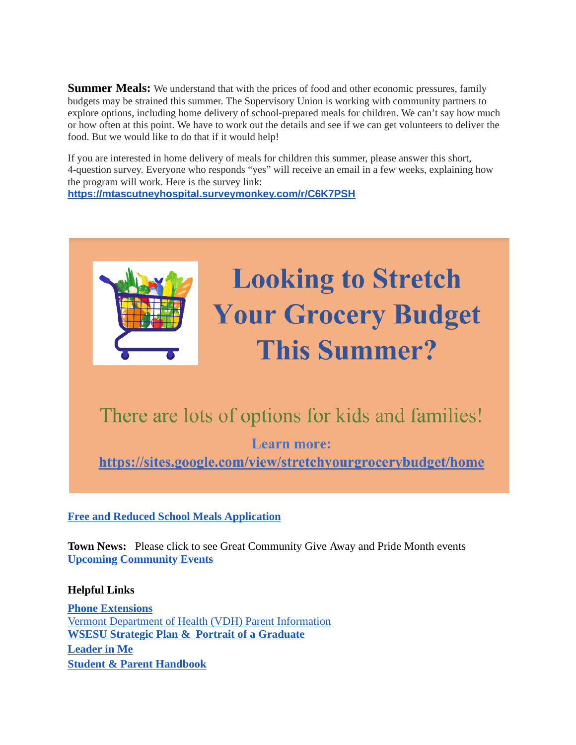**Summer Meals:** We understand that with the prices of food and other economic pressures, family budgets may be strained this summer. The Supervisory Union is working with community partners to explore options, including home delivery of school-prepared meals for children. We can't say how much or how often at this point. We have to work out the details and see if we can get volunteers to deliver the food. But we would like to do that if it would help!

If you are interested in home delivery of meals for children this summer, please answer this short, 4-question survey. Everyone who responds "yes" will receive an email in a few weeks, explaining how the program will work. Here is the survey link: **[https://mtascutneyhospital.surveymonkey.com/r/C6K7PSH](http://track.spe.schoolmessenger.com/f/a/4o7LTmjTQyMegNZ98O3iMw~~/AAAAAQA~/RgRkjf4GP0Q1aHR0cHM6Ly9tdGFzY3V0bmV5aG9zcGl0YWwuc3VydmV5bW9ua2V5LmNvbS9yL0M2SzdQU0hXB3NjaG9vbG1CCmKYhsqsYtFMsrxSE2NkZXNjaGFtcEB3c2VzdS5uZXRYBAAAAAE~)**



# There are lots of options for kids and families!

**Learn more:** 

https://sites.google.com/view/stretchyourgrocerybudget/home

#### **[Free and Reduced School Meals Application](https://www.myschoolapps.com/Home/DistrictRedirect/WINDSOR_VT?langid=1)**

**Town News:** Please click to see Great Community Give Away and Pride Month events **[Upcoming Community Events](https://docs.google.com/document/d/1EYmAX1-FO_r1jRur2O37A3Um9bwcVm8AGUe566g8Q4A/edit?usp=sharing)**

#### **Helpful Links**

**[Phone Extensions](https://whs.wsesu.net/information/staff-directory)** [Vermont Department of Health \(VDH\) Parent Information](https://www.healthvermont.gov/sites/default/files/documents/pdf/CYF_VTBacktoSchoolAfterIllness.pdf) **[WSESU Strategic Plan & Portrait of a Graduate](https://sites.google.com/wsesu.net/curriculum/wsesu-strategic-plan-portrait-of-a-graduate) [Leader in Me](https://www.leaderinme.org/what-is-leader-in-me/) [Student & Parent Handbook](https://docs.google.com/document/d/1FLfGzUC52e_1RBy14a7LfEMQa1H9Jqo0IYbiNUGBQwg/edit)**